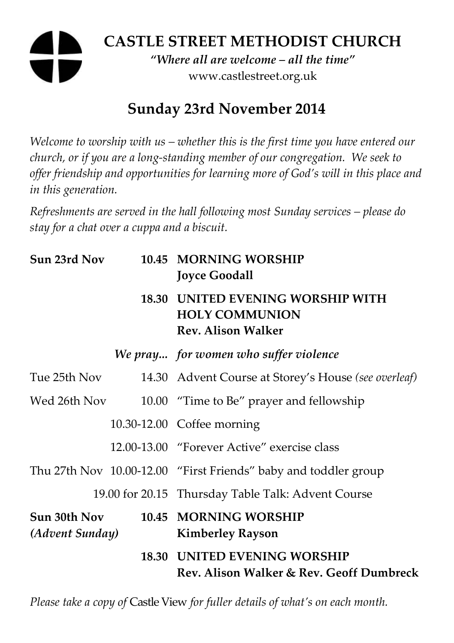# **CASTLE STREET METHODIST CHURCH**  *"Where all are welcome – all the time"*  www.castlestreet.org.uk

# **Sunday 23rd November 2014**

*Welcome to worship with us – whether this is the first time you have entered our church, or if you are a long-standing member of our congregation. We seek to offer friendship and opportunities for learning more of God's will in this place and in this generation.* 

*Refreshments are served in the hall following most Sunday services – please do stay for a chat over a cuppa and a biscuit.* 

| Sun 23rd Nov                    | 10.45 MORNING WORSHIP<br><b>Joyce Goodall</b>                                           |
|---------------------------------|-----------------------------------------------------------------------------------------|
|                                 | 18.30 UNITED EVENING WORSHIP WITH<br><b>HOLY COMMUNION</b><br><b>Rev. Alison Walker</b> |
|                                 | We pray for women who suffer violence                                                   |
| Tue 25th Nov                    | 14.30 Advent Course at Storey's House (see overleaf)                                    |
| Wed 26th Nov                    | 10.00 "Time to Be" prayer and fellowship                                                |
|                                 | 10.30-12.00 Coffee morning                                                              |
|                                 | 12.00-13.00 "Forever Active" exercise class                                             |
|                                 | Thu 27th Nov 10.00-12.00 "First Friends" baby and toddler group                         |
|                                 | 19.00 for 20.15 Thursday Table Talk: Advent Course                                      |
| Sun 30th Nov<br>(Advent Sunday) | 10.45 MORNING WORSHIP<br><b>Kimberley Rayson</b>                                        |
|                                 | <b>18.30 UNITED EVENING WORSHIP</b><br>Rev. Alison Walker & Rev. Geoff Dumbreck         |

*Please take a copy of* Castle View *for fuller details of what's on each month.*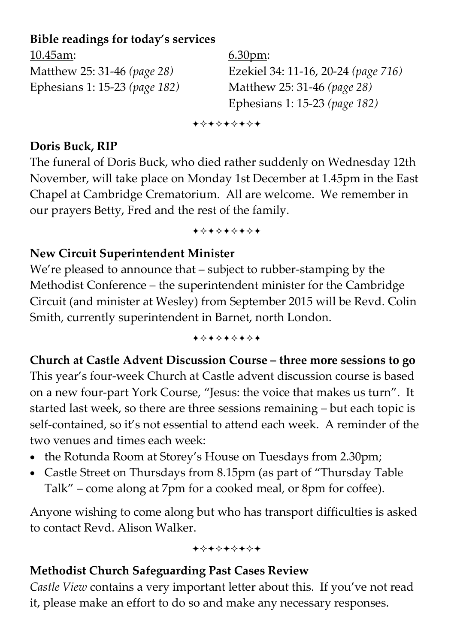# **Bible readings for today's services**

| $10.45$ am:                            | 6.30 <sub>pm</sub>                  |
|----------------------------------------|-------------------------------------|
| Matthew 25: 31-46 (page 28)            | Ezekiel 34: 11-16, 20-24 (page 716) |
| Ephesians 1: 15-23 ( <i>page 182</i> ) | Matthew 25: 31-46 (page 28)         |
|                                        | Ephesians 1: 15-23 (page 182)       |

+\*\*\*\*\*\*\*

### **Doris Buck, RIP**

The funeral of Doris Buck, who died rather suddenly on Wednesday 12th November, will take place on Monday 1st December at 1.45pm in the East Chapel at Cambridge Crematorium. All are welcome. We remember in our prayers Betty, Fred and the rest of the family.

+\*\*\*\*\*\*\*

# **New Circuit Superintendent Minister**

We're pleased to announce that – subject to rubber-stamping by the Methodist Conference – the superintendent minister for the Cambridge Circuit (and minister at Wesley) from September 2015 will be Revd. Colin Smith, currently superintendent in Barnet, north London.

+\*\*\*\*\*\*\*

## **Church at Castle Advent Discussion Course – three more sessions to go**

This year's four-week Church at Castle advent discussion course is based on a new four-part York Course, "Jesus: the voice that makes us turn". It started last week, so there are three sessions remaining – but each topic is self-contained, so it's not essential to attend each week. A reminder of the two venues and times each week:

- the Rotunda Room at Storey's House on Tuesdays from 2.30pm;
- Castle Street on Thursdays from 8.15pm (as part of "Thursday Table Talk" – come along at 7pm for a cooked meal, or 8pm for coffee).

Anyone wishing to come along but who has transport difficulties is asked to contact Revd. Alison Walker.

+\*+\*\*\*\*\*

## **Methodist Church Safeguarding Past Cases Review**

*Castle View* contains a very important letter about this. If you've not read it, please make an effort to do so and make any necessary responses.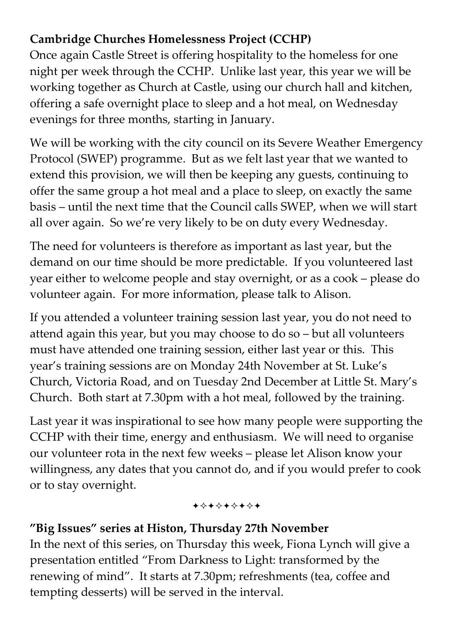# **Cambridge Churches Homelessness Project (CCHP)**

Once again Castle Street is offering hospitality to the homeless for one night per week through the CCHP. Unlike last year, this year we will be working together as Church at Castle, using our church hall and kitchen, offering a safe overnight place to sleep and a hot meal, on Wednesday evenings for three months, starting in January.

We will be working with the city council on its Severe Weather Emergency Protocol (SWEP) programme. But as we felt last year that we wanted to extend this provision, we will then be keeping any guests, continuing to offer the same group a hot meal and a place to sleep, on exactly the same basis – until the next time that the Council calls SWEP, when we will start all over again. So we're very likely to be on duty every Wednesday.

The need for volunteers is therefore as important as last year, but the demand on our time should be more predictable. If you volunteered last year either to welcome people and stay overnight, or as a cook – please do volunteer again. For more information, please talk to Alison.

If you attended a volunteer training session last year, you do not need to attend again this year, but you may choose to do so – but all volunteers must have attended one training session, either last year or this. This year's training sessions are on Monday 24th November at St. Luke's Church, Victoria Road, and on Tuesday 2nd December at Little St. Mary's Church. Both start at 7.30pm with a hot meal, followed by the training.

Last year it was inspirational to see how many people were supporting the CCHP with their time, energy and enthusiasm. We will need to organise our volunteer rota in the next few weeks – please let Alison know your willingness, any dates that you cannot do, and if you would prefer to cook or to stay overnight.

#### +\*\*\*\*\*\*\*

# **"Big Issues" series at Histon, Thursday 27th November**

In the next of this series, on Thursday this week, Fiona Lynch will give a presentation entitled "From Darkness to Light: transformed by the renewing of mind". It starts at 7.30pm; refreshments (tea, coffee and tempting desserts) will be served in the interval.